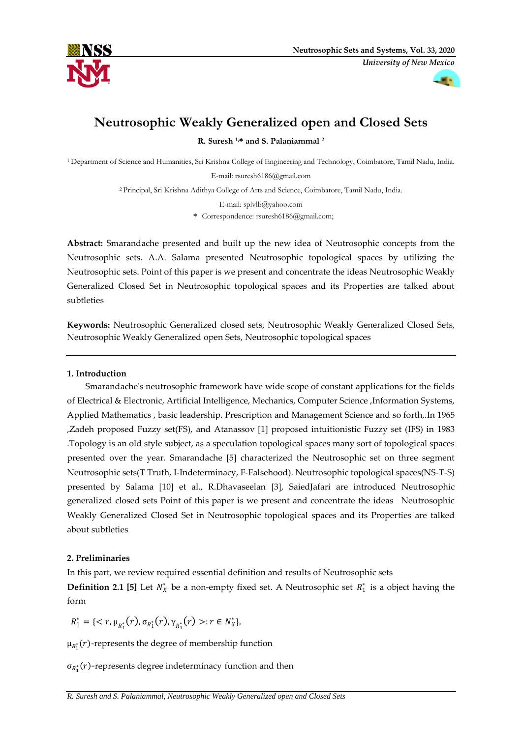



# **Neutrosophic Weakly Generalized open and Closed Sets**

**R. Suresh 1,\* and S. Palaniammal <sup>2</sup>**

<sup>1</sup> Department of Science and Humanities, Sri Krishna College of Engineering and Technology, Coimbatore, Tamil Nadu, India. E-mail: rsuresh6186@gmail.com

<sup>2</sup> Principal, Sri Krishna Adithya College of Arts and Science, Coimbatore, Tamil Nadu, India.

E-mail: splvlb@yahoo.com

**\*** Correspondence: rsuresh6186@gmail.com;

**Abstract:** Smarandache presented and built up the new idea of Neutrosophic concepts from the Neutrosophic sets. A.A. Salama presented Neutrosophic topological spaces by utilizing the Neutrosophic sets. Point of this paper is we present and concentrate the ideas Neutrosophic Weakly Generalized Closed Set in Neutrosophic topological spaces and its Properties are talked about subtleties

**Keywords:** Neutrosophic Generalized closed sets, Neutrosophic Weakly Generalized Closed Sets, Neutrosophic Weakly Generalized open Sets, Neutrosophic topological spaces

### **1. Introduction**

Smarandache's neutrosophic framework have wide scope of constant applications for the fields of Electrical & Electronic, Artificial Intelligence, Mechanics, Computer Science ,Information Systems, Applied Mathematics , basic leadership. Prescription and Management Science and so forth,.In 1965 ,Zadeh proposed Fuzzy set(FS), and Atanassov [1] proposed intuitionistic Fuzzy set (IFS) in 1983 .Topology is an old style subject, as a speculation topological spaces many sort of topological spaces presented over the year. Smarandache [5] characterized the Neutrosophic set on three segment Neutrosophic sets(T Truth, I-Indeterminacy, F-Falsehood). Neutrosophic topological spaces(NS-T-S) presented by Salama [10] et al., R.Dhavaseelan [3], SaiedJafari are introduced Neutrosophic generalized closed sets Point of this paper is we present and concentrate the ideas Neutrosophic Weakly Generalized Closed Set in Neutrosophic topological spaces and its Properties are talked about subtleties

## **2. Preliminaries**

In this part, we review required essential definition and results of Neutrosophic sets

**Definition 2.1 [5]** Let  $N_X^*$  be a non-empty fixed set. A Neutrosophic set  $R_1^*$  is a object having the form

$$
R_1^* = \{ \langle r, \mu_{R_1^*}(r), \sigma_{R_1^*}(r), \gamma_{R_1^*}(r) \rangle : r \in N_X^* \},\
$$

 $\mu_{R_1^*}(r)$ -represents the degree of membership function

 $\sigma_{R_1^*}(r)$ -represents degree indeterminacy function and then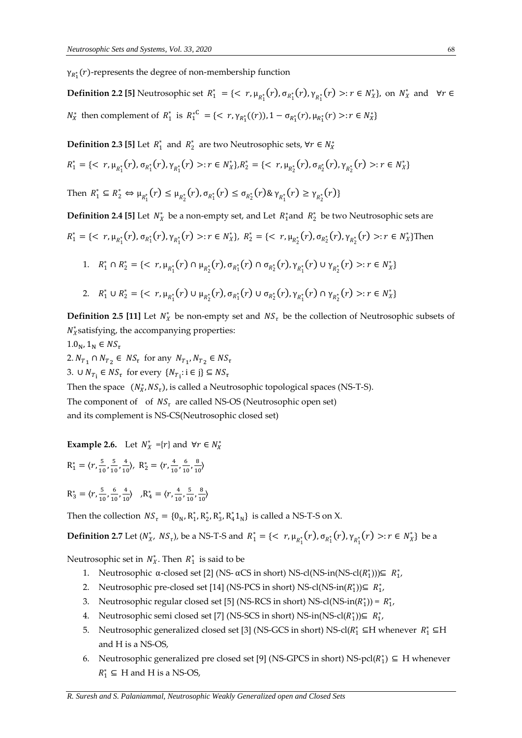$γ_{R<sub>1</sub><sup>*</sup>}(r)$ -represents the degree of non-membership function

**Definition 2.2** [5] Neutrosophic set  $R_1^* = \{ \langle r, \mu_{R_1^*}(r), \sigma_{R_1^*}(r), \gamma_{R_1^*}(r) \rangle : r \in N_X^* \}$ , on  $N_X^*$  and  $\forall r \in \mathbb{R}$  $N_X^*$  then complement of  $R_1^*$  is  $R_1^*$ <sup>c</sup> = {< r,γ<sub>R<sup>†</sup></sup></sub>((r)), 1 − σ<sub>R<sup>†</sup></sub>(r), μ<sub>R<sup>†</sup></sup>(r) >: r ∈  $N_X^*$ }</sub>

**Definition 2.3 [5]** Let  $R_1^*$  and  $R_2^*$  are two Neutrosophic sets,  $\forall r \in N_X^*$ 

$$
R_1^* = \{ \langle r, \mu_{R_1^*}(r), \sigma_{R_1^*}(r), \gamma_{R_1^*}(r) \rangle : r \in N_X^* \}, R_2^* = \{ \langle r, \mu_{R_2^*}(r), \sigma_{R_2^*}(r), \gamma_{R_2^*}(r) \rangle : r \in N_X^* \}
$$

Then  $R_1^* \subseteq R_2^* \Leftrightarrow \mu_{R_1^*}(r) \leq \mu_{R_2^*}(r), \sigma_{R_1^*}(r) \leq \sigma_{R_2^*}(r) \& \gamma_{R_1^*}(r) \geq \gamma_{R_2^*}(r)$ 

**Definition 2.4 [5]** Let  $N_X^*$  be a non-empty set, and Let  $R_1^*$  and  $R_2^*$  be two Neutrosophic sets are  $R_1^* = \{ \langle r, \mu_{R_1^*}(r), \sigma_{R_1^*}(r), \gamma_{R_1^*}(r) >: r \in N_X^* \}, R_2^* = \{ \langle r, \mu_{R_2^*}(r), \sigma_{R_2^*}(r), \gamma_{R_2^*}(r) >: r \in N_X^* \}$ Then

1. 
$$
R_1^* \cap R_2^* = \{ \langle r, \mu_{R_1^*}(r) \cap \mu_{R_2^*}(r), \sigma_{R_1^*}(r) \cap \sigma_{R_2^*}(r), \gamma_{R_1^*}(r) \cup \gamma_{R_2^*}(r) \rangle : r \in N_X^* \}
$$

2. 
$$
R_1^* \cup R_2^* = \{ \langle r, \mu_{R_1^*}(r) \cup \mu_{R_2^*}(r), \sigma_{R_1^*}(r) \cup \sigma_{R_2^*}(r), \gamma_{R_1^*}(r) \cap \gamma_{R_2^*}(r) \rangle : r \in N_X^*\}
$$

**Definition 2.5 [11]** Let  $N_X^*$  be non-empty set and  $NS_{\tau}$  be the collection of Neutrosophic subsets of  $N_X^*$ satisfying, the accompanying properties:

 $1.0<sub>N</sub>$ ,  $1<sub>N</sub> \in NS<sub>\tau</sub>$ 

2.  $N_{T_1} \cap N_{T_2} \in NS_{\tau}$  for any  $N_{T_1}$ ,  $N_{T_2} \in NS_{\tau}$ 

3.  $\cup N_{T_i} \in NS_{\tau}$  for every  $\{N_{T_i}: i \in j\} \subseteq NS_{\tau}$ 

Then the space  $(N_X^*, NS_\tau)$ , is called a Neutrosophic topological spaces (NS-T-S).

The component of of  $NS_{\tau}$  are called NS-OS (Neutrosophic open set)

and its complement is NS-CS(Neutrosophic closed set)

**Example 2.6.** Let  $N_X^* = \{r\}$  and  $\forall r \in N_X^*$ 

$$
R_1^* = \langle r, \frac{5}{10}, \frac{5}{10}, \frac{4}{10} \rangle, R_2^* = \langle r, \frac{4}{10}, \frac{6}{10}, \frac{8}{10} \rangle
$$

 $R_3^* = \langle r, \frac{5}{10} \rangle$  $\frac{5}{10}$ ,  $\frac{6}{10}$  $\frac{6}{10}$ ,  $\frac{4}{10}$  $\frac{4}{10}$ ,  $R_4^* = \langle r, \frac{4}{10} \rangle$  $\frac{4}{10}$ ,  $\frac{5}{10}$  $\frac{5}{10}$ ,  $\frac{8}{10}$  $\frac{8}{10}$ 

Then the collection  $NS_{\tau} = \{0_N, R_1^*, R_2^*, R_3^*, R_4^*1_N\}$  is called a NS-T-S on X.

**Definition 2.7** Let  $(N_x^*, NS_\tau)$ , be a NS-T-S and  $R_1^* = \{< r, \mu_{R_1^*}(r), \sigma_{R_1^*}(r), \gamma_{R_1^*}(r) >: r \in N_X^*\}$  be a

Neutrosophic set in  $N_X^*$ . Then  $R_1^*$  is said to be

- 1. Neutrosophic α-closed set [2] (NS- αCS in short) NS-cl(NS-in(NS-cl( $R_1^*$ )))⊆  $R_1^*$ ,
- 2. Neutrosophic pre-closed set [14] (NS-PCS in short) NS-cl(NS-in( $R_1^*$ )) $\subseteq R_1^*$ ,
- 3. Neutrosophic regular closed set [5] (NS-RCS in short) NS-cl(NS-in( $R_1^*$ )) =  $R_1^*$ ,
- 4. Neutrosophic semi closed set [7] (NS-SCS in short) NS-in(NS-cl( $R_1^*$ )) $\subseteq R_1^*$ ,
- 5. Neutrosophic generalized closed set [3] (NS-GCS in short) NS-cl( $R_1^* \subseteq H$  whenever  $R_1^* \subseteq H$ and H is a NS-OS,
- 6. Neutrosophic generalized pre closed set [9] (NS-GPCS in short) NS-pcl( $R_1^*$ )  $\subseteq$  H whenever  $R_1^* \subseteq H$  and H is a NS-OS,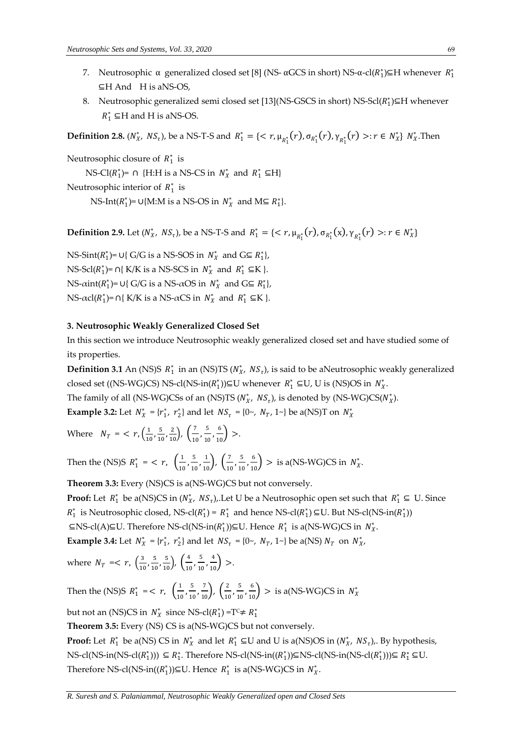- 7. Neutrosophic α generalized closed set [8] (NS- αGCS in short) NS-α-cl( $R_1^*$ ) $\subseteq$ H whenever  $R_1^*$ ⊆H And H is aNS-OS,
- 8. Neutrosophic generalized semi closed set [13](NS-GSCS in short) NS-Scl( $R_1^*$ ) $\subseteq$ H whenever  $R_1^* \subseteq H$  and H is aNS-OS.

**Definition 2.8.**  $(N_x^*, NS_\tau)$ , be a NS-T-S and  $R_1^* = \{ \langle r, \mu_{R_1^*}(r), \sigma_{R_1^*}(r), \gamma_{R_1^*}(r) \rangle : r \in N_X^* \}$   $N_X^*.$  Then

Neutrosophic closure of  $R_1^*$  is NS-Cl( $R_1^*$ )=  $\cap$  {H:H is a NS-CS in  $N_X^*$  and  $R_1^* \subseteq H$ } Neutrosophic interior of  $R_1^*$  is NS-Int( $R_1^*$ )= ∪{M:M is a NS-OS in  $N_X^*$  and M⊆  $R_1^*$ }.

**Definition 2.9.** Let  $(N_X^*, NS_\tau)$ , be a NS-T-S and  $R_1^* = \{ \langle r, \mu_{R_1^*}(r), \sigma_{R_1^*}(x), \gamma_{R_1^*}(r) \rangle : r \in N_X^* \}$ 

NS-Sint( $R_1^*$ )= ∪{ G/G is a NS-SOS in  $N_X^*$  and G⊆  $R_1^*$ }, NS-Scl( $R_1^*$ )=  $\cap$ { K/K is a NS-SCS in  $N_X^*$  and  $R_1^* \subseteq K$  }. NS- $\alpha$ int( $R_1^*$ )= ∪{ G/G is a NS- $\alpha$ OS in  $N_X^*$  and G⊆  $R_1^*$ }, NS- $\alpha$ cl( $R_1^*$ )=  $\cap$ { K/K is a NS- $\alpha$ CS in  $N_X^*$  and  $R_1^* \subseteq K$  }.

#### **3. Neutrosophic Weakly Generalized Closed Set**

In this section we introduce Neutrosophic weakly generalized closed set and have studied some of its properties.

**Definition 3.1** An (NS)S  $R_1^*$  in an (NS)TS ( $N_X^*$ ,  $NS_{\tau}$ ), is said to be aNeutrosophic weakly generalized closed set ((NS-WG)CS) NS-cl(NS-in( $R_1^*$ ))⊆U whenever  $R_1^*$  ⊆U, U is (NS)OS in  $N_X^*$ .

The family of all (NS-WG)CSs of an (NS)TS ( $N_X^*$ ,  $NS_{\tau}$ ), is denoted by (NS-WG)CS( $N_X^*$ ).

**Example 3.2:** Let  $N_X^* = \{r_1^*, r_2^*\}$  and let  $NS_{\tau} = \{0, \tau, N_T, 1\}$  be a(NS)T on  $N_X^*$ 

Where  $N_T = \langle r, \left( \frac{1}{10} \right) \rangle$  $\frac{1}{10}$ ,  $\frac{5}{10}$  $\left(\frac{5}{10}, \frac{2}{10}\right), \left(\frac{7}{10}\right)$  $\frac{7}{10}$ ,  $\frac{5}{10}$  $\frac{5}{10}, \frac{6}{10}$  >.

Then the (NS)S  $R_1^* = \langle r, \; \left( \frac{1}{r} \right)$  $\frac{1}{10}, \frac{5}{10}$  $\left(\frac{5}{10},\frac{1}{10}\right), \left(\frac{7}{10}\right)$  $\frac{7}{10}$ ,  $\frac{5}{10}$  $\left(\frac{5}{10}, \frac{6}{10}\right)$  > is a(NS-WG)CS in  $N_X^*$ .

**Theorem 3.3:** Every (NS)CS is a(NS-WG)CS but not conversely.

**Proof:** Let  $R_1^*$  be a(NS)CS in  $(N_X^*, NS_t)$ . Let U be a Neutrosophic open set such that  $R_1^* \subseteq U$ . Since  $R_1^*$  is Neutrosophic closed, NS-cl( $R_1^*$ ) =  $R_1^*$  and hence NS-cl( $R_1^*$ ) ⊆U. But NS-cl(NS-in( $R_1^*$ )) ⊆NS-cl(A)⊆U. Therefore NS-cl(NS-in( $R_1^*$ ))⊆U. Hence  $R_1^*$  is a(NS-WG)CS in  $N_X^*$ . **Example 3.4:** Let  $N_X^* = \{r_1^*, r_2^*\}$  and let  $NS_{\tau} = \{0, \tau, N_T, 1\}$  be a(NS)  $N_T$  on  $N_{X}^*$ ,

where  $N_T = \langle r, \left( \frac{3}{10} \right) \rangle$  $\frac{3}{10}$ ,  $\frac{5}{10}$  $\frac{5}{10}, \frac{5}{10}$ ,  $\left(\frac{4}{10}\right)$  $\frac{4}{10}, \frac{5}{10}$  $\frac{5}{10}, \frac{4}{10}$  >.

Then the (NS)S  $R_1^* = \langle r, \; \left( \frac{1}{16} \right)$  $\frac{1}{10}, \frac{5}{10}$  $\left(\frac{5}{10},\frac{7}{10}\right), \left(\frac{2}{10}\right)$  $\frac{2}{10}, \frac{5}{10}$  $\left(\frac{5}{10}, \frac{6}{10}\right)$  > is a(NS-WG)CS in  $N_X^*$ 

but not an (NS)CS in  $N_X^*$  since NS-cl( $R_1^*$ ) =T<sup>c</sup>≠  $R_1^*$ 

**Theorem 3.5:** Every (NS) CS is a(NS-WG)CS but not conversely.

**Proof:** Let  $R_1^*$  be a(NS) CS in  $N_X^*$  and let  $R_1^* \subseteq U$  and U is a(NS)OS in  $(N_X^*, NS_{\tau})$ . By hypothesis, NS-cl(NS-in(NS-cl( $R_1^*$ ))) ⊆  $R_1^*$ . Therefore NS-cl(NS-in( $(R_1^*)$ )⊆NS-cl(NS-in(NS-cl( $R_1^*$ )))⊆  $R_1^*$  ⊆U. Therefore NS-cl(NS-in( $(R_1^*)$ ) $\subseteq U$ . Hence  $R_1^*$  is a(NS-WG)CS in  $N_X^*$ .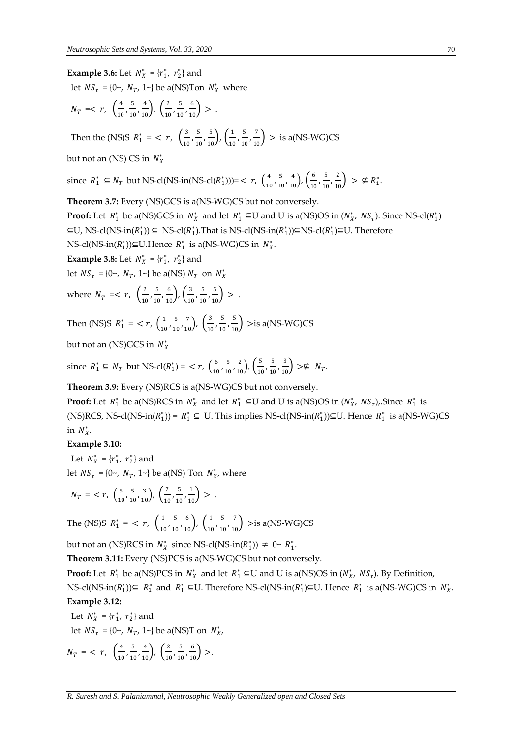# **Example 3.6:** Let  $N_X^* = \{r_1^*, r_2^*\}$  and

let  $NS_{\tau} = \{0 \sim N_{T}, 1 \sim\}$  be a(NS)Ton  $N_{X}^{*}$  where

$$
N_T = \langle r, \, \left( \frac{4}{10}, \frac{5}{10}, \frac{4}{10} \right), \, \left( \frac{2}{10}, \frac{5}{10}, \frac{6}{10} \right) > .
$$

Then the (NS)S  $R_1^* = \langle r, \, \begin{pmatrix} \frac{3}{4} \\ \frac{1}{2} \end{pmatrix}$  $\frac{3}{10}$ ,  $\frac{5}{10}$  $\frac{5}{10}, \frac{5}{10}$ ,  $\left(\frac{1}{10}\right)$  $\frac{1}{10}$ ,  $\frac{5}{10}$  $\left(\frac{5}{10}, \frac{7}{10}\right)$  > is a(NS-WG)CS

but not an (NS) CS in  $N_X^*$ 

since 
$$
R_1^* \subseteq N_T
$$
 but NS-cl(NS-in(NS-cl( $R_1^*$ )))= $r$ ,  $\left(\frac{4}{10}, \frac{5}{10}, \frac{4}{10}\right), \left(\frac{6}{10}, \frac{5}{10}, \frac{2}{10}\right) > \nsubseteq R_1^*$ .

**Theorem 3.7:** Every (NS)GCS is a(NS-WG)CS but not conversely.

**Proof:** Let  $R_1^*$  be a(NS)GCS in  $N_X^*$  and let  $R_1^* \subseteq U$  and U is a(NS)OS in  $(N_{X'}^*$ ,  $NS_{\tau}$ ). Since NS-cl( $R_1^*$ ) ⊆U, NS-cl(NS-in( $R_1^*$ )) ⊆ NS-cl( $R_1^*$ ).That is NS-cl(NS-in( $R_1^*$ ))⊆NS-cl( $R_1^*$ )⊆U. Therefore NS-cl(NS-in( $R_1^*$ ))⊆U.Hence  $R_1^*$  is a(NS-WG)CS in  $N_X^*$ .

**Example 3.8:** Let  $N_X^* = \{r_1^*, r_2^*\}$  and

let  $NS_{\tau} = \{0 \sim N_{T}, 1 \sim\}$  be a(NS)  $N_{T}$  on  $N_{X}^{*}$ 

where 
$$
N_T = \langle r, \left( \frac{2}{10}, \frac{5}{10}, \frac{6}{10} \right), \left( \frac{3}{10}, \frac{5}{10}, \frac{5}{10} \right) \rangle
$$
.

Then (NS)S  $R_1^* = \langle r, \, \left( \frac{1}{10} \right)$  $\frac{1}{10}$ ,  $\frac{5}{10}$  $\left(\frac{5}{10}, \frac{7}{10}\right), \left(\frac{3}{10}\right)$  $\frac{3}{10}$ ,  $\frac{5}{10}$  $\left(\frac{5}{10}, \frac{5}{10}\right)$  > is a(NS-WG)CS

but not an (NS)GCS in  $N_X^*$ 

since  $R_1^* \subseteq N_T$  but NS-cl $(R_1^*)$  = < r,  $\left(\frac{6}{10}\right)$  $\frac{6}{10}$ ,  $\frac{5}{10}$  $\left(\frac{5}{10}, \frac{2}{10}\right), \left(\frac{5}{10}\right)$  $\frac{5}{10}$ ,  $\frac{5}{10}$  $\frac{5}{10}, \frac{3}{10}$  > $\neq N_T$ .

**Theorem 3.9:** Every (NS)RCS is a(NS-WG)CS but not conversely.

**Proof:** Let  $R_1^*$  be a(NS)RCS in  $N_X^*$  and let  $R_1^* \subseteq U$  and U is a(NS)OS in  $(N_{X}^*, NS_{\tau})$ . Since  $R_1^*$  is (NS)RCS, NS-cl(NS-in( $R_1^*$ )) =  $R_1^* \subseteq U$ . This implies NS-cl(NS-in( $R_1^*$ )) $\subseteq U$ . Hence  $R_1^*$  is a(NS-WG)CS in  $N_X^*$ .

#### **Example 3.10:**

Let  $N_X^* = \{r_1^*, r_2^*\}$  and let  $NS_{\tau} = \{0 \sim N_{T}, 1 \sim\}$  be a(NS) Ton  $N_{X}^{*}$ , where

$$
N_T = \langle r, \, \left(\frac{5}{10}, \frac{5}{10}, \frac{3}{10}\right), \, \left(\frac{7}{10}, \frac{5}{10}, \frac{1}{10}\right) \rangle.
$$

The (NS)S  $R_1^* = \langle r, \, \left( \frac{1}{10} \right)$  $\frac{1}{10}$ ,  $\frac{5}{10}$  $\frac{5}{10}, \frac{6}{10}$ ,  $\left(\frac{1}{10}\right)$  $\frac{1}{10}$ ,  $\frac{5}{10}$  $\left(\frac{5}{10}, \frac{7}{10}\right)$  > is a(NS-WG)CS

but not an (NS)RCS in  $N_X^*$  since NS-cl(NS-in( $R_1^*$ ))  $\neq$  0~  $R_1^*$ .

**Theorem 3.11:** Every (NS)PCS is a(NS-WG)CS but not conversely.

**Proof:** Let  $R_1^*$  be a(NS)PCS in  $N_X^*$  and let  $R_1^* \subseteq U$  and U is a(NS)OS in  $(N_{X}^*, NS_{\tau})$ . By Definition, NS-cl(NS-in( $R_1^*$ ))⊆  $R_1^*$  and  $R_1^*$  ⊆U. Therefore NS-cl(NS-in( $R_1^*$ )⊆U. Hence  $R_1^*$  is a(NS-WG)CS in  $N_X^*$ . **Example 3.12:**

Let  $N_X^* = \{r_1^*, r_2^*\}$  and

let  $NS_{\tau} = \{0 \sim N_{T}, 1 \sim\}$  be a(NS)T on  $N_{X}^{*}$ ,

$$
N_T = \langle r, \left( \frac{4}{10}, \frac{5}{10}, \frac{4}{10} \right), \left( \frac{2}{10}, \frac{5}{10}, \frac{6}{10} \right) \rangle.
$$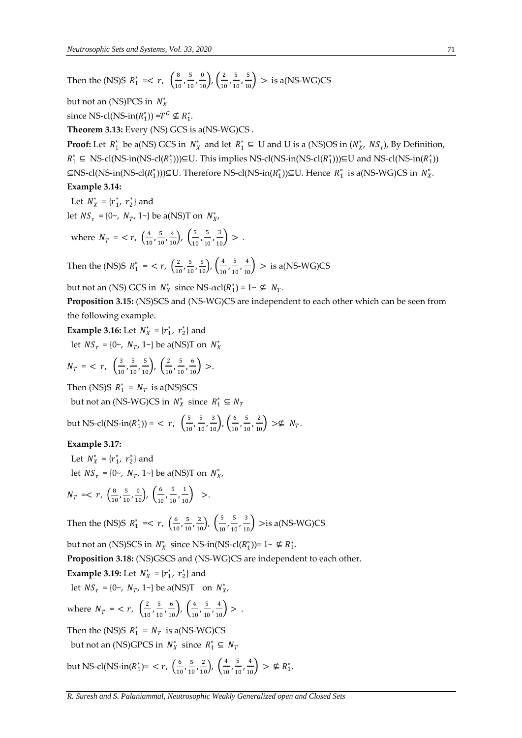Then the (NS)S 
$$
R_1^* = \langle r, \left(\frac{8}{10}, \frac{5}{10}, \frac{0}{10}\right), \left(\frac{2}{10}, \frac{5}{10}, \frac{5}{10}\right) > \text{ is a(NS-WG)CS}
$$

but not an (NS)PCS in  $N_X^*$ 

since NS-cl(NS-in( $R_1^*$ )) = $T^C \nsubseteq R_1^*$ .

**Theorem 3.13:** Every (NS) GCS is a(NS-WG)CS .

**Proof:** Let  $R_1^*$  be a(NS) GCS in  $N_X^*$  and let  $R_1^* \subseteq U$  and U is a (NS)OS in  $(N_X^*, NS_{\tau})$ , By Definition,  $R_1^*$  ⊆ NS-cl(NS-in(NS-cl( $R_1^*$ )))⊆U. This implies NS-cl(NS-in(NS-cl( $R_1^*$ )))⊆U and NS-cl(NS-in( $R_1^*$ )) ⊆NS-cl(NS-in(NS-cl( $R_1^*$ )))⊆U. Therefore NS-cl(NS-in( $R_1^*$ ))⊆U. Hence  $R_1^*$  is a(NS-WG)CS in  $N_X^*$ .

# **Example 3.14:**

Let  $N_X^* = \{r_1^*, r_2^*\}$  and let  $NS_{\tau} = \{0 \sim N_{T}, 1 \sim\}$  be a(NS)T on  $N_{X}^{*}$ ,

where 
$$
N_T = \langle r, \left(\frac{4}{10}, \frac{5}{10}, \frac{4}{10}\right), \left(\frac{5}{10}, \frac{5}{10}, \frac{3}{10}\right) \rangle
$$
.

Then the (NS)S  $R_1^* = \langle r, \, \left( \frac{2}{10} \right)$  $\frac{2}{10}$ ,  $\frac{5}{10}$  $\frac{5}{10}, \frac{5}{10}$ ,  $\left(\frac{4}{10}\right)$  $\frac{4}{10}, \frac{5}{10}$  $\left(\frac{5}{10}, \frac{4}{10}\right)$  > is a(NS-WG)CS

but not an (NS) GCS in  $N_X^*$  since NS- $\alpha$ cl $(R_1^*) = 1 \sim \nsubseteq N_T$ .

**Proposition 3.15:** (NS)SCS and (NS-WG)CS are independent to each other which can be seen from the following example.

**Example 3.16:** Let  $N_X^* = \{r_1^*, r_2^*\}$  and

let  $NS_{\tau} = \{0 \sim N_{T}, 1 \sim\}$  be a(NS)T on  $N_{X}^{*}$ 

$$
N_T = \langle r, \, \binom{3}{10}, \frac{5}{10}, \frac{5}{10} \rangle, \, \binom{2}{10}, \frac{5}{10}, \frac{6}{10} \rangle > .
$$

Then (NS)S  $R_1^* = N_T$  is a(NS)SCS

but not an (NS-WG)CS in  $N_X^*$  since  $R_1^* \subseteq N_T$ 

but NS-cl(NS-in(
$$
R_1^*
$$
)) = < r,  $\left(\frac{5}{10}, \frac{5}{10}, \frac{3}{10}\right), \left(\frac{6}{10}, \frac{5}{10}, \frac{2}{10}\right) > \nsubseteq N_T$ .

### **Example 3.17:**

Let  $N_X^* = \{r_1^*, r_2^*\}$  and let  $NS_{\tau} = \{0 \sim N_{T}, 1 \sim\}$  be a(NS)T on  $N_{X}^{*}$ ,

$$
N_T = .
$$

Then the (NS)S  $R_1^* = < r$ ,  $\left(\frac{6}{10}\right)$  $\frac{6}{10}$ ,  $\frac{5}{10}$  $\left(\frac{5}{10}, \frac{2}{10}\right), \left(\frac{5}{10}\right)$  $\frac{5}{10}$ ,  $\frac{5}{10}$  $\left(\frac{5}{10}, \frac{3}{10}\right)$  > is a(NS-WG)CS

but not an (NS)SCS in  $N_X^*$  since NS-in(NS-cl( $R_1^*$ ))= 1~  $\notin R_1^*$ .

**Proposition 3.18:** (NS)GSCS and (NS-WG)CS are independent to each other.

**Example 3.19:** Let  $N_X^* = \{r_1^*, r_2^*\}$  and

let  $NS_{\tau} = \{0 \sim N_{T}, 1 \sim\}$  be a(NS)T on  $N_{X}^{*}$ ,

where 
$$
N_T = \langle r, \left( \frac{2}{10}, \frac{5}{10}, \frac{6}{10} \right), \left( \frac{4}{10}, \frac{5}{10}, \frac{4}{10} \right) \rangle
$$
.

Then the (NS)S  $R_1^* = N_T$  is a(NS-WG)CS

but not an (NS)GPCS in  $N_X^*$  since  $R_1^* \subseteq N_T$ 

but NS-cl(NS-in(
$$
R_1^*
$$
)=  $r$ ,  $\left(\frac{6}{10}, \frac{5}{10}, \frac{2}{10}\right)$ ,  $\left(\frac{4}{10}, \frac{5}{10}, \frac{4}{10}\right) > \nsubseteq R_1^*$ .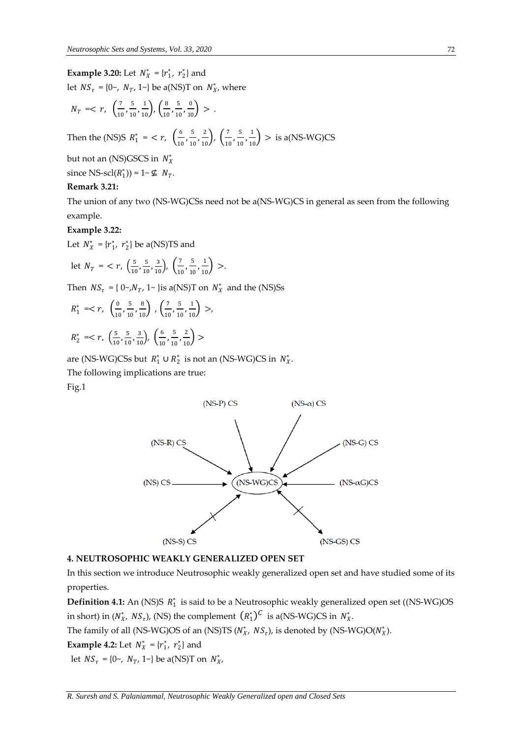# **Example 3.20:** Let  $N_X^* = \{r_1^*, r_2^*\}$  and

let  $NS_{\tau} = \{0 \sim N_{T}, 1 \sim\}$  be a(NS)T on  $N_{X}^{*}$ , where

$$
N_T = \langle r, \, \binom{7}{10}, \frac{5}{10}, \frac{1}{10} \rangle, \binom{8}{10}, \frac{5}{10}, \frac{0}{10} \rangle > .
$$

Then the (NS)S  $R_1^* = \langle r, \; \begin{pmatrix} 6 & 1 \ 1 & 1 \end{pmatrix}$  $\frac{6}{10}$ ,  $\frac{5}{10}$  $\left(\frac{5}{10}, \frac{2}{10}\right)$ ,  $\left(\frac{7}{10}\right)$  $\frac{7}{10}$ ,  $\frac{5}{10}$  $\left(\frac{5}{10}, \frac{1}{10}\right)$  > is a(NS-WG)CS

but not an (NS)GSCS in  $N_X^*$ 

since NS-scl( $R_1^*$ )) = 1~ $\nsubseteq N_T$ .

#### **Remark 3.21:**

The union of any two (NS-WG)CSs need not be a(NS-WG)CS in general as seen from the following example.

#### **Example 3.22:**

Let  $N_X^* = \{r_1^*, r_2^*\}$  be a(NS)TS and

let 
$$
N_T = \langle r, \left(\frac{5}{10}, \frac{5}{10}, \frac{3}{10}\right), \left(\frac{7}{10}, \frac{5}{10}, \frac{1}{10}\right) \rangle
$$

Then  $NS_{\tau} = \{ 0 \sim N_{T}, 1 \sim \text{ }\text{ is a(NS)T on } N_{X}^{*} \text{ and the (NS)Ss} \}$ 

$$
R_1^* = < r, \quad \left(\frac{0}{10}, \frac{5}{10}, \frac{8}{10}\right), \quad \left(\frac{7}{10}, \frac{5}{10}, \frac{1}{10}\right) > ,
$$
\n
$$
R_2^* = < r, \quad \left(\frac{5}{10}, \frac{5}{10}, \frac{3}{10}\right), \quad \left(\frac{6}{10}, \frac{5}{10}, \frac{2}{10}\right) >
$$

are (NS-WG)CSs but  $R_1^* \cup R_2^*$  is not an (NS-WG)CS in  $N_X^*$ .

The following implications are true:

Fig.1



#### **4. NEUTROSOPHIC WEAKLY GENERALIZED OPEN SET**

In this section we introduce Neutrosophic weakly generalized open set and have studied some of its properties.

**Definition 4.1:** An (NS)S  $R_1^*$  is said to be a Neutrosophic weakly generalized open set ((NS-WG)OS in short) in ( $N_X^*$ ,  $NS_\tau$ ), (NS) the complement  $\left(R_1^*\right)^C$  is a(NS-WG)CS in  $N_X^*$ .

The family of all (NS-WG)OS of an (NS)TS ( $N_X^*$ ,  $NS_{\tau}$ ), is denoted by (NS-WG)O( $N_X^*$ ).

**Example 4.2:** Let  $N_X^* = \{r_1^*, r_2^*\}$  and

let  $NS_{\tau} = \{0 \sim N_{T}, 1 \sim\}$  be a(NS)T on  $N_{X}^{*}$ ,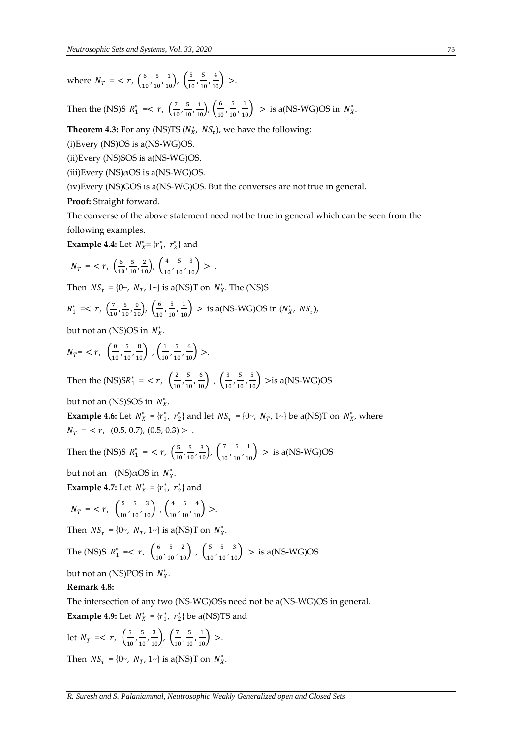where  $N_T = \langle r, \left( \frac{6}{10} \right) \rangle$  $\frac{6}{10}$ ,  $\frac{5}{10}$  $\left(\frac{5}{10},\frac{1}{10}\right), \left(\frac{5}{10}\right)$  $\frac{5}{10}$ ,  $\frac{5}{10}$  $\frac{5}{10}, \frac{4}{10}$  >.

Then the (NS)S  $R_1^* = < r$ ,  $\left(\frac{7}{10}\right)$  $\frac{7}{10}$ ,  $\frac{5}{10}$  $\frac{5}{10}, \frac{1}{10}$ ,  $\left(\frac{6}{10}\right)$  $\frac{6}{10}$ ,  $\frac{5}{10}$  $\left(\frac{5}{10}, \frac{1}{10}\right)$  > is a(NS-WG)OS in  $N_X^*$ .

**Theorem 4.3:** For any (NS)TS  $(N_X^*, NS_\tau)$ , we have the following:

(i)Every (NS)OS is a(NS-WG)OS.

(ii)Every (NS)SOS is a(NS-WG)OS.

(iii)Every (NS) $\alpha$ OS is a(NS-WG)OS.

(iv)Every (NS)GOS is a(NS-WG)OS. But the converses are not true in general.

**Proof:** Straight forward.

The converse of the above statement need not be true in general which can be seen from the following examples.

**Example 4.4:** Let  $N_X^* = \{r_1^*, r_2^*\}$  and

$$
N_T = \langle r, \, \left( \frac{6}{10}, \frac{5}{10}, \frac{2}{10} \right), \, \left( \frac{4}{10}, \frac{5}{10}, \frac{3}{10} \right) > \, .
$$

Then  $NS_{\tau} = \{0 \sim N_{T}, 1 \sim\}$  is a(NS)T on  $N_{X}^{*}$ . The (NS)S

$$
R_1^* = \langle r, \left(\frac{7}{10}, \frac{5}{10}, \frac{0}{10}\right), \left(\frac{6}{10}, \frac{5}{10}, \frac{1}{10}\right) > \text{ is a(NS-WG)OS in } (N_X^*, NS_\tau),
$$

but not an (NS)OS in  $N_X^*$ .

$$
N_T = \langle r, \left( \frac{0}{10}, \frac{5}{10}, \frac{8}{10} \right), \left( \frac{1}{10}, \frac{5}{10}, \frac{6}{10} \right) \rangle.
$$

Then the (NS)SR<sup>\*</sup><sub>1</sub> = < r,  $\left(\frac{2}{10}\right)$  $\frac{2}{10}, \frac{5}{10}$  $\left(\frac{5}{10}, \frac{6}{10}\right)$ ,  $\left(\frac{3}{10}\right)$  $\frac{3}{10}$ ,  $\frac{5}{10}$  $\left(\frac{5}{10}, \frac{5}{10}\right)$  > is a(NS-WG)OS

but not an (NS)SOS in  $N_X^*$ .

**Example 4.6:** Let  $N_X^* = \{r_1^*, r_2^*\}$  and let  $NS_{\tau} = \{0, \tau, N_T, 1\}$  be a(NS)T on  $N_X^*$ , where  $N_T = \langle r, (0.5, 0.7), (0.5, 0.3) \rangle$ .

Then the (NS)S  $R_1^* = \langle r, \, \left( \frac{5}{10} \right)$  $\frac{5}{10}$ ,  $\frac{5}{10}$  $\left(\frac{5}{10}, \frac{3}{10}\right), \left(\frac{7}{10}\right)$  $\frac{7}{10}$ ,  $\frac{5}{10}$  $\left(\frac{5}{10}, \frac{1}{10}\right)$  > is a(NS-WG)OS

but not an  $(NS)\alpha OS$  in  $N_X^*$ . **Example 4.7:** Let  $N_X^* = \{r_1^*, r_2^*\}$  and

$$
N_T = \langle r, \left( \frac{5}{10}, \frac{5}{10}, \frac{3}{10} \right), \left( \frac{4}{10}, \frac{5}{10}, \frac{4}{10} \right) \rangle.
$$

Then  $NS_{\tau} = \{0 \sim N_{T}, 1 \sim \}$  is a(NS)T on  $N_{X}^{*}$ .

The (NS)S  $R_1^* = < r$ ,  $\left(\frac{6}{10}\right)$  $\frac{6}{10}$ ,  $\frac{5}{10}$  $\left(\frac{5}{10}, \frac{2}{10}\right)$ ,  $\left(\frac{5}{10}\right)$  $\frac{5}{10}, \frac{5}{10}$  $\left(\frac{5}{10}, \frac{3}{10}\right)$  > is a(NS-WG)OS

but not an (NS)POS in  $N_X^*$ .

#### **Remark 4.8:**

The intersection of any two (NS-WG)OSs need not be a(NS-WG)OS in general.

**Example 4.9:** Let  $N_X^* = \{r_1^*, r_2^*\}$  be a(NS)TS and

let 
$$
N_T = r
$$
,  $\left(\frac{5}{10}, \frac{5}{10}, \frac{3}{10}\right), \left(\frac{7}{10}, \frac{5}{10}, \frac{1}{10}\right) >$ .

Then  $NS_{\tau} = \{0 \sim N_{T}, 1 \sim \}$  is a(NS)T on  $N_{X}^{*}$ .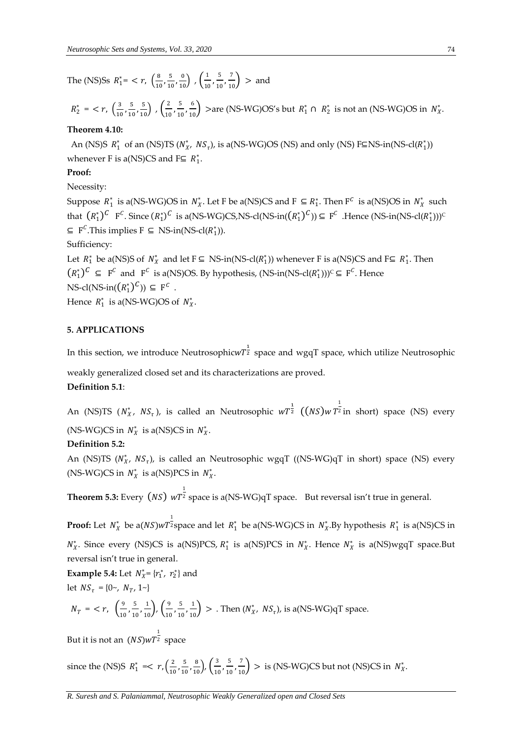The (NS)Ss  $R_1^* = \langle r, \frac{8}{10} \rangle$  $\frac{8}{10}$ ,  $\frac{5}{10}$  $\frac{5}{10}, \frac{0}{10}$ ,  $\left(\frac{1}{10}\right)$  $\frac{1}{10}$ ,  $\frac{5}{10}$  $\left(\frac{5}{10}, \frac{7}{10}\right) >$  and

 $R_2^* = \langle r, \, \left( \frac{3}{10} \right)$  $\frac{3}{10}$ ,  $\frac{5}{10}$  $\frac{5}{10}, \frac{5}{10}$  ,  $\left(\frac{2}{10}\right)$  $\frac{2}{10}$ ,  $\frac{5}{10}$  $\left(\frac{5}{10}, \frac{6}{10}\right)$  >are (NS-WG)OS's but  $R_1^* \cap R_2^*$  is not an (NS-WG)OS in  $N_X^*$ .

#### **Theorem 4.10:**

An (NS)S  $R_1^*$  of an (NS)TS ( $N_X^*$ ,  $NS_\tau$ ), is a(NS-WG)OS (NS) and only (NS) F⊆NS-in(NS-cl( $R_1^*$ )) whenever F is a(NS)CS and  $F \subseteq R_1^*$ .

### **Proof:**

Necessity:

Suppose  $R_1^*$  is a(NS-WG)OS in  $N_X^*$ . Let F be a(NS)CS and F  $\subseteq R_1^*$ . Then F<sup>C</sup> is a(NS)OS in  $N_X^*$  such that  $(R_1^*)^C$   $F^C$ . Since  $(R_1^*)^C$  is a(NS-WG)CS,NS-cl(NS-in( $(R_1^*)^C$ ))  $\subseteq$   $F^C$  .Hence (NS-in(NS-cl( $R_1^*)$ ))<sup>c</sup>  $\subseteq$   $F^C$ . This implies  $F \subseteq NS-in(NS-cl(R_1^*)$ .

Sufficiency:

Let  $R_1^*$  be a(NS)S of  $N_X^*$  and let  $F \subseteq NS-in(NS-cl(R_1^*))$  whenever F is a(NS)CS and  $F \subseteq R_1^*$ . Then  $(R_1^*)^C$  ⊆ F<sup>*C*</sup> and F<sup>*C*</sup> is a(NS)OS. By hypothesis, (NS-in(NS-cl( $R_1^*$ )))<sup>c</sup> ⊆ F<sup>*C*</sup>. Hence  $NS\text{-}cl(NS\text{-}in((R_1^*)^C)) \subseteq F^C$ .

Hence  $R_1^*$  is a(NS-WG)OS of  $N_X^*$ .

### **5. APPLICATIONS**

In this section, we introduce Neutrosophicw $T^{\frac{1}{2}}$  space and wgqT space, which utilize Neutrosophic

weakly generalized closed set and its characterizations are proved. **Definition 5.1**:

An (NS)TS  $(N_X^*, \ NS_\tau),$  is called an Neutrosophic  $wT^{\frac{1}{2}}$   $\left((NS)w\, T^{\frac{1}{2}}\right)$ <sup>2</sup> in short) space (NS) every (NS-WG)CS in  $N_X^*$  is a(NS)CS in  $N_X^*$ .

### **Definition 5.2:**

An (NS)TS  $(N_X^*, NS_{\tau})$ , is called an Neutrosophic wgqT ((NS-WG)qT in short) space (NS) every (NS-WG)CS in  $N_X^*$  is a(NS)PCS in  $N_X^*$ .

Theorem 5.3: Every  $\left(\mathit{NS}\right)\,\mathit{wT}^{\frac{1}{2}}$ <sup>2</sup> space is a(NS-WG)qT space. But reversal isn't true in general.

**Proof:** Let  $N_X^*$  be a(NS)w $T^{\frac{1}{2}}$ space and let  $R_1^*$  be a(NS-WG)CS in  $N_X^*$ .By hypothesis  $R_1^*$  is a(NS)CS in  $N_X^*$ . Since every (NS)CS is a(NS)PCS,  $R_1^*$  is a(NS)PCS in  $N_X^*$ . Hence  $N_X^*$  is a(NS)wgqT space.But reversal isn't true in general.

**Example 5.4:** Let  $N_X^* = \{r_1^*, r_2^*\}$  and let  $NS_{\tau} = \{0 \sim N_{T}, 1 \sim\}$ 

$$
N_T = \langle r, \, \binom{9}{10}, \frac{5}{10}, \frac{1}{10} \rangle, \binom{9}{10}, \frac{5}{10}, \frac{1}{10} \rangle > . \text{ Then } (N_X^*, \, NS_\tau), \text{ is a (NS-WG)qT space.}
$$

But it is not an  $\ (NS)wT^{\tfrac{1}{2}}$ <sup>2</sup> space

since the (NS)S  $R_1^* = < r, (\frac{2}{10})$  $\frac{2}{10}$ ,  $\frac{5}{10}$  $\left(\frac{5}{10}, \frac{8}{10}\right), \left(\frac{3}{10}\right)$  $\frac{3}{10}$ ,  $\frac{5}{10}$  $\left(\frac{5}{10}, \frac{7}{10}\right)$  > is (NS-WG)CS but not (NS)CS in  $N_X^*$ .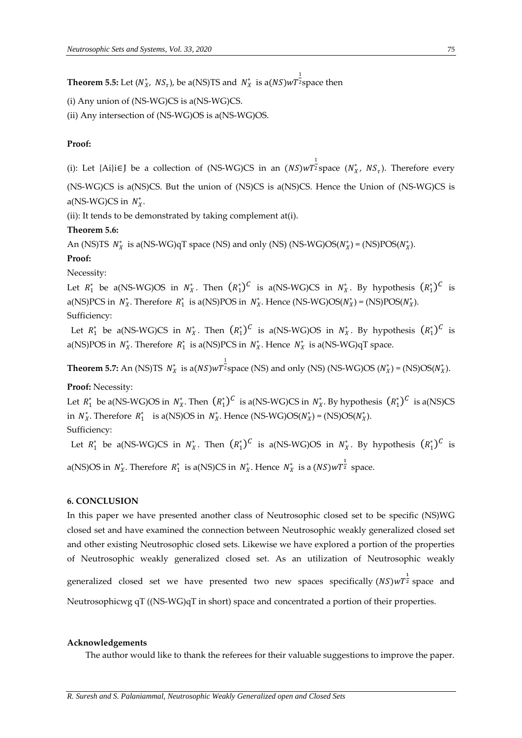**Theorem 5.5:** Let  $(N_X^*, NS_\tau)$ , be a(NS)TS and  $N_X^*$  is a(NS)wT2 <sup>2</sup>space then

(i) Any union of (NS-WG)CS is a(NS-WG)CS.

(ii) Any intersection of (NS-WG)OS is a(NS-WG)OS.

### **Proof:**

(i): Let {Ai}i∈J be a collection of (NS-WG)CS in an  $(NS)wT^{\frac{1}{2}}$ space  $(N_X^*,\ NS_{\tau})$ . Therefore every

(NS-WG)CS is a(NS)CS. But the union of (NS)CS is a(NS)CS. Hence the Union of (NS-WG)CS is  $a$ (NS-WG)CS in  $N_X^*$ .

(ii): It tends to be demonstrated by taking complement at(i).

#### **Theorem 5.6:**

An (NS)TS  $N_X^*$  is a(NS-WG)qT space (NS) and only (NS) (NS-WG)OS( $N_X^*$ ) = (NS)POS( $N_X^*$ ).

# **Proof:**

Necessity:

Let  $R_1^*$  be a(NS-WG)OS in  $N_X^*$ . Then  $(R_1^*)^C$  is a(NS-WG)CS in  $N_X^*$ . By hypothesis  $(R_1^*)^C$  is a(NS)PCS in  $N_X^*$ . Therefore  $R_1^*$  is a(NS)POS in  $N_X^*$ . Hence (NS-WG)OS( $N_X^*$ ) = (NS)POS( $N_X^*$ ). Sufficiency:

Let  $R_1^*$  be a(NS-WG)CS in  $N_X^*$ . Then  $(R_1^*)^C$  is a(NS-WG)OS in  $N_X^*$ . By hypothesis  $(R_1^*)^C$  is a(NS)POS in  $N_X^*$ . Therefore  $R_1^*$  is a(NS)PCS in  $N_X^*$ . Hence  $N_X^*$  is a(NS-WG)qT space.

**Theorem 5.7:** An (NS)TS  $N_X^*$  is a $(NS)wT^2$ space (NS) and only (NS) (NS-WG)OS  $(N_X^*)$  = (NS)OS( $N_X^*$ ).

**Proof:** Necessity:

Let  $R_1^*$  be a(NS-WG)OS in  $N_X^*$ . Then  $(R_1^*)^C$  is a(NS-WG)CS in  $N_X^*$ . By hypothesis  $(R_1^*)^C$  is a(NS)CS in  $N_X^*$ . Therefore  $R_1^*$  is a(NS)OS in  $N_X^*$ . Hence (NS-WG)OS( $N_X^*$ ) = (NS)OS( $N_X^*$ ). Sufficiency:

Let  $R_1^*$  be a(NS-WG)CS in  $N_X^*$ . Then  $(R_1^*)^C$  is a(NS-WG)OS in  $N_X^*$ . By hypothesis  $(R_1^*)^C$  is a(NS)OS in  $N_X^*$ . Therefore  $R_1^*$  is a(NS)CS in  $N_X^*$ . Hence  $N_X^*$  is a (NS)w $T^{\frac{1}{2}}$  space.

#### **6. CONCLUSION**

In this paper we have presented another class of Neutrosophic closed set to be specific (NS)WG closed set and have examined the connection between Neutrosophic weakly generalized closed set and other existing Neutrosophic closed sets. Likewise we have explored a portion of the properties of Neutrosophic weakly generalized closed set. As an utilization of Neutrosophic weakly generalized closed set we have presented two new spaces specifically  $(NS)wr^{\frac{1}{2}}$  space and Neutrosophicwg qT ((NS-WG)qT in short) space and concentrated a portion of their properties.

#### **Acknowledgements**

The author would like to thank the referees for their valuable suggestions to improve the paper.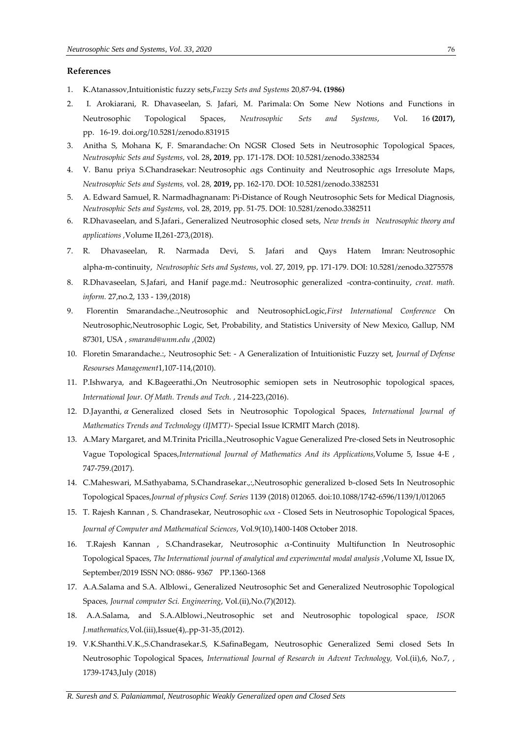#### **References**

- 1. K.Atanassov,Intuitionistic fuzzy sets,*Fuzzy Sets and Systems* 20,87-94**. (1986)**
- 2. I. Arokiarani, R. Dhavaseelan, S. Jafari, M. Parimala: [On Some New Notions and Functions in](http://fs.unm.edu/NSS/OnSomeNewNotionsAndFunctionsInNeutrosophic.pdf)  [Neutrosophic Topological Spaces,](http://fs.unm.edu/NSS/OnSomeNewNotionsAndFunctionsInNeutrosophic.pdf) *Neutrosophic Sets and Systems*, Vol. 16 **(2017),** pp. 16-19. [doi.org/10.5281/zenodo.831915](https://doi.org/10.5281/zenodo.831915)
- 3. Anitha S, Mohana K, F. Smarandache: [On NGSR Closed Sets in Neutrosophic Topological Spaces,](http://fs.unm.edu/NSS/OnNGSRClosedSetsNeutrosophic.pdf)  *Neutrosophic Sets and Systems*, vol. 28**, 2019**, pp. 171-178. DOI: [10.5281/zenodo.3382534](https://zenodo.org/record/3382534#.XWpDanuxXIU)
- 4. V. Banu priya S.Chandrasekar: [Neutrosophic αgs Continuity and Neutrosophic αgs Irresolu](http://fs.unm.edu/NSS/NeutrosophicContinuity.pdf)te Maps, *Neutrosophic Sets and Systems,* vol. 28, **2019,** pp. 162-170. DOI: [10.5281/zenodo.3382531](https://zenodo.org/record/3382531#.XWpDA3uxXIU)
- 5. A. Edward Samuel, R. Narmadhagnanam: [Pi-Distance of Rough Neutrosophic Sets for Medical Diagnosis,](http://fs.unm.edu/NSS/PiDistanceOfRoughNeutrosophic.pdf)  *Neutrosophic Sets and Systems*, vol. 28, 2019, pp. 51-75. DOI: [10.5281/zenodo.3382511](https://zenodo.org/record/3382511#.XWo_7HuxXIU)
- 6. R.Dhavaseelan, and S.Jafari., Generalized Neutrosophic closed sets, *New trends in Neutrosophic theory and applications ,*Volume II,261-273,(2018).
- 7. R. Dhavaseelan, R. Narmada Devi, S. Jafari and Qays Hatem Imran: [Neutrosophic](http://fs.unm.edu/NSS/Neutrosophic%20alpha-m-continuity.pdf)  [alpha-m-continuity,](http://fs.unm.edu/NSS/Neutrosophic%20alpha-m-continuity.pdf) *Neutrosophic Sets and Systems*, vol. 27, 2019, pp. 171-179. DOI: [10.5281/zenodo.3275578](https://zenodo.org/record/3275578)
- 8. R.Dhavaseelan, S.Jafari, and Hanif page.md.: Neutrosophic generalized -contra-continuity, *creat. math. inform.* 27,no.2, 133 - 139,(2018)
- 9. Florentin Smarandache.:,Neutrosophic and NeutrosophicLogic,*First International Conference* On Neutrosophic,Neutrosophic Logic, Set, Probability, and Statistics University of New Mexico, Gallup, NM 87301, USA , *smarand@unm.edu* ,(2002)
- 10. Floretin Smarandache.:, Neutrosophic Set: A Generalization of Intuitionistic Fuzzy set, *Journal of Defense Resourses Management*1,107-114,(2010).
- 11. P.Ishwarya, and K.Bageerathi.,On Neutrosophic semiopen sets in Neutrosophic topological spaces, *International Jour. Of Math. Trends and Tech.* , 214-223,(2016).
- 12. D.Jayanthi, Generalized closed Sets in Neutrosophic Topological Spaces, *International Journal of Mathematics Trends and Technology (IJMTT)*- Special Issue ICRMIT March (2018).
- 13. A.Mary Margaret, and M.Trinita Pricilla.,Neutrosophic Vague Generalized Pre-closed Sets in Neutrosophic Vague Topological Spaces,*International Journal of Mathematics And its Applications,*Volume 5, Issue 4-E , 747-759.(2017).
- 14. C.Maheswari, M.Sathyabama, S.Chandrasekar.,:,Neutrosophic generalized b-closed Sets In Neutrosophic Topological Spaces,*Journal of physics Conf. Series* 1139 (2018) 012065. doi:10.1088/1742-6596/1139/1/012065
- 15. T. Rajesh Kannan , S. Chandrasekar, Neutrosophic ωα Closed Sets in Neutrosophic Topological Spaces, *Journal of Computer and Mathematical Sciences*, Vol.9(10),1400-1408 October 2018.
- 16. T.Rajesh Kannan , S.Chandrasekar, Neutrosophic α-Continuity Multifunction In Neutrosophic Topological Spaces, *The International journal of analytical and experimental modal analysis* ,Volume XI, Issue IX, September/2019 ISSN NO: 0886- 9367 PP.1360-1368
- 17. A.A.Salama and S.A. Alblowi., Generalized Neutrosophic Set and Generalized Neutrosophic Topological Spaces*, Journal computer Sci. Engineering*, Vol.(ii),No.(7)(2012).
- 18. A.A.Salama, and S.A.Alblowi.,Neutrosophic set and Neutrosophic topological space*, ISOR J.mathematics,*Vol.(iii),Issue(4),.pp-31-35,(2012).
- 19. V.K.Shanthi.V.K.,S.Chandrasekar.S, K.SafinaBegam, Neutrosophic Generalized Semi closed Sets In Neutrosophic Topological Spaces, *International Journal of Research in Advent Technology,* Vol.(ii),6, No.7, , 1739-1743,July (2018)